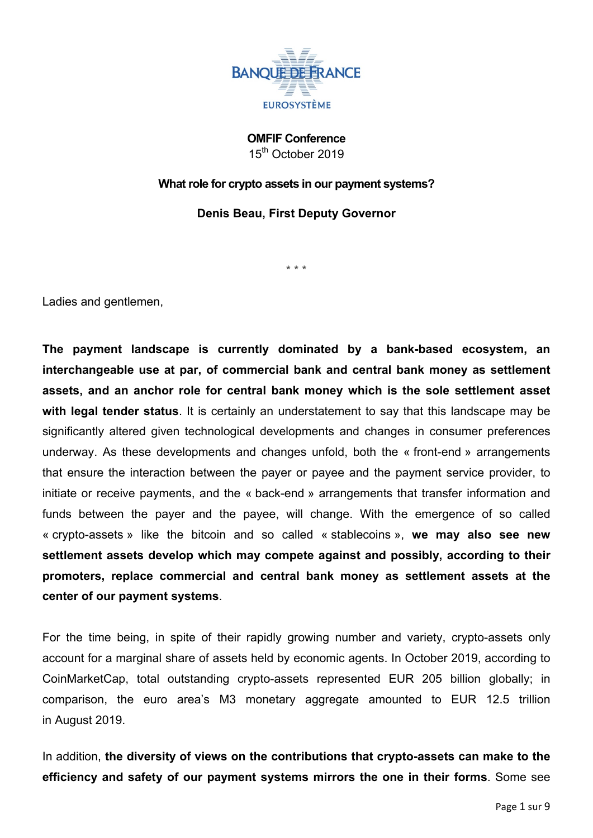

**OMFIF Conference** 15<sup>th</sup> October 2019

## **What role for crypto assets in our payment systems?**

**Denis Beau, First Deputy Governor**

\* \* \*

Ladies and gentlemen,

**The payment landscape is currently dominated by a bank-based ecosystem, an interchangeable use at par, of commercial bank and central bank money as settlement assets, and an anchor role for central bank money which is the sole settlement asset with legal tender status**. It is certainly an understatement to say that this landscape may be significantly altered given technological developments and changes in consumer preferences underway. As these developments and changes unfold, both the « front-end » arrangements that ensure the interaction between the payer or payee and the payment service provider, to initiate or receive payments, and the « back-end » arrangements that transfer information and funds between the payer and the payee, will change. With the emergence of so called « crypto-assets » like the bitcoin and so called « stablecoins », **we may also see new settlement assets develop which may compete against and possibly, according to their promoters, replace commercial and central bank money as settlement assets at the center of our payment systems**.

For the time being, in spite of their rapidly growing number and variety, crypto-assets only account for a marginal share of assets held by economic agents. In October 2019, according to CoinMarketCap, total outstanding crypto-assets represented EUR 205 billion globally; in comparison, the euro area's M3 monetary aggregate amounted to EUR 12.5 trillion in August 2019.

In addition, **the diversity of views on the contributions that crypto-assets can make to the efficiency and safety of our payment systems mirrors the one in their forms**. Some see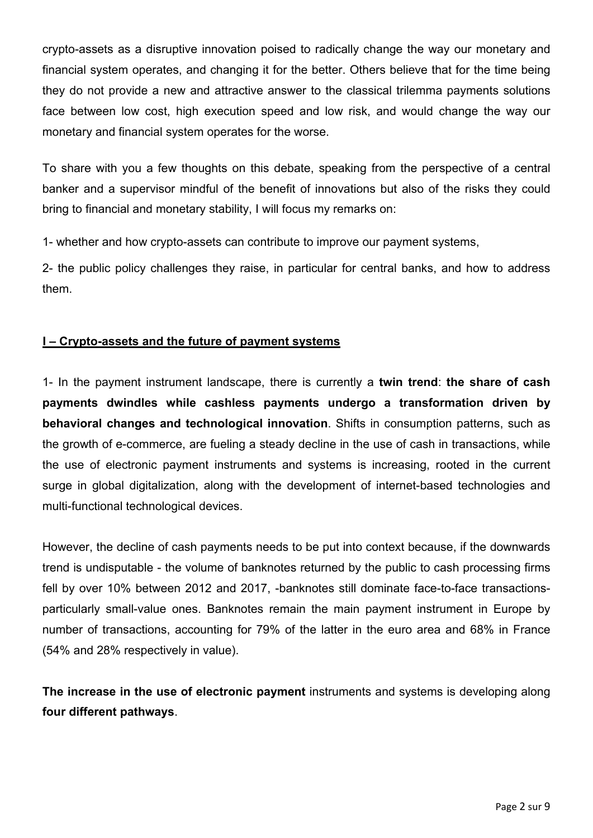crypto-assets as a disruptive innovation poised to radically change the way our monetary and financial system operates, and changing it for the better. Others believe that for the time being they do not provide a new and attractive answer to the classical trilemma payments solutions face between low cost, high execution speed and low risk, and would change the way our monetary and financial system operates for the worse.

To share with you a few thoughts on this debate, speaking from the perspective of a central banker and a supervisor mindful of the benefit of innovations but also of the risks they could bring to financial and monetary stability, I will focus my remarks on:

1- whether and how crypto-assets can contribute to improve our payment systems,

2- the public policy challenges they raise, in particular for central banks, and how to address them.

## **I – Crypto-assets and the future of payment systems**

1- In the payment instrument landscape, there is currently a **twin trend**: **the share of cash payments dwindles while cashless payments undergo a transformation driven by behavioral changes and technological innovation**. Shifts in consumption patterns, such as the growth of e-commerce, are fueling a steady decline in the use of cash in transactions, while the use of electronic payment instruments and systems is increasing, rooted in the current surge in global digitalization, along with the development of internet-based technologies and multi-functional technological devices.

However, the decline of cash payments needs to be put into context because, if the downwards trend is undisputable - the volume of banknotes returned by the public to cash processing firms fell by over 10% between 2012 and 2017, -banknotes still dominate face-to-face transactionsparticularly small-value ones. Banknotes remain the main payment instrument in Europe by number of transactions, accounting for 79% of the latter in the euro area and 68% in France (54% and 28% respectively in value).

**The increase in the use of electronic payment** instruments and systems is developing along **four different pathways**.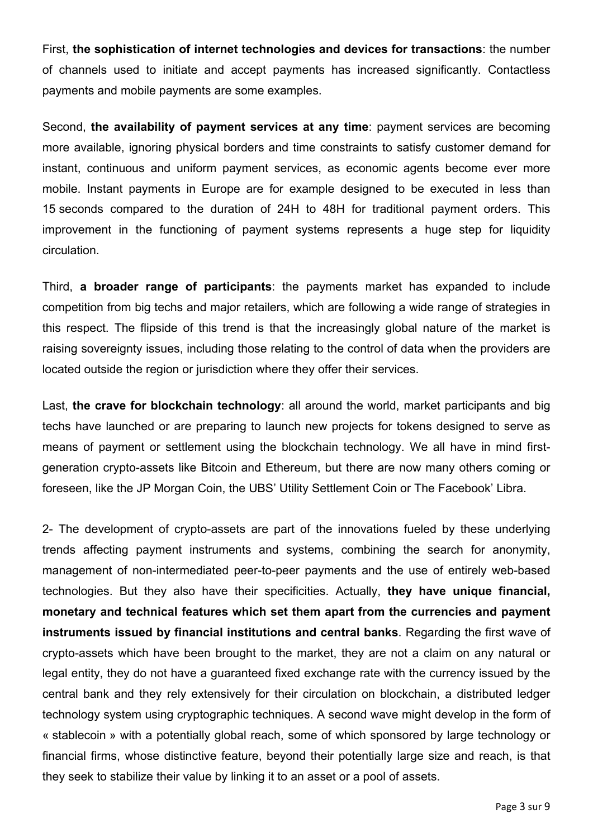First, **the sophistication of internet technologies and devices for transactions**: the number of channels used to initiate and accept payments has increased significantly. Contactless payments and mobile payments are some examples.

Second, **the availability of payment services at any time**: payment services are becoming more available, ignoring physical borders and time constraints to satisfy customer demand for instant, continuous and uniform payment services, as economic agents become ever more mobile. Instant payments in Europe are for example designed to be executed in less than 15 seconds compared to the duration of 24H to 48H for traditional payment orders. This improvement in the functioning of payment systems represents a huge step for liquidity circulation.

Third, **a broader range of participants**: the payments market has expanded to include competition from big techs and major retailers, which are following a wide range of strategies in this respect. The flipside of this trend is that the increasingly global nature of the market is raising sovereignty issues, including those relating to the control of data when the providers are located outside the region or jurisdiction where they offer their services.

Last, **the crave for blockchain technology**: all around the world, market participants and big techs have launched or are preparing to launch new projects for tokens designed to serve as means of payment or settlement using the blockchain technology. We all have in mind firstgeneration crypto-assets like Bitcoin and Ethereum, but there are now many others coming or foreseen, like the JP Morgan Coin, the UBS' Utility Settlement Coin or The Facebook' Libra.

2- The development of crypto-assets are part of the innovations fueled by these underlying trends affecting payment instruments and systems, combining the search for anonymity, management of non-intermediated peer-to-peer payments and the use of entirely web-based technologies. But they also have their specificities. Actually, **they have unique financial, monetary and technical features which set them apart from the currencies and payment instruments issued by financial institutions and central banks**. Regarding the first wave of crypto-assets which have been brought to the market, they are not a claim on any natural or legal entity, they do not have a guaranteed fixed exchange rate with the currency issued by the central bank and they rely extensively for their circulation on blockchain, a distributed ledger technology system using cryptographic techniques. A second wave might develop in the form of « stablecoin » with a potentially global reach, some of which sponsored by large technology or financial firms, whose distinctive feature, beyond their potentially large size and reach, is that they seek to stabilize their value by linking it to an asset or a pool of assets.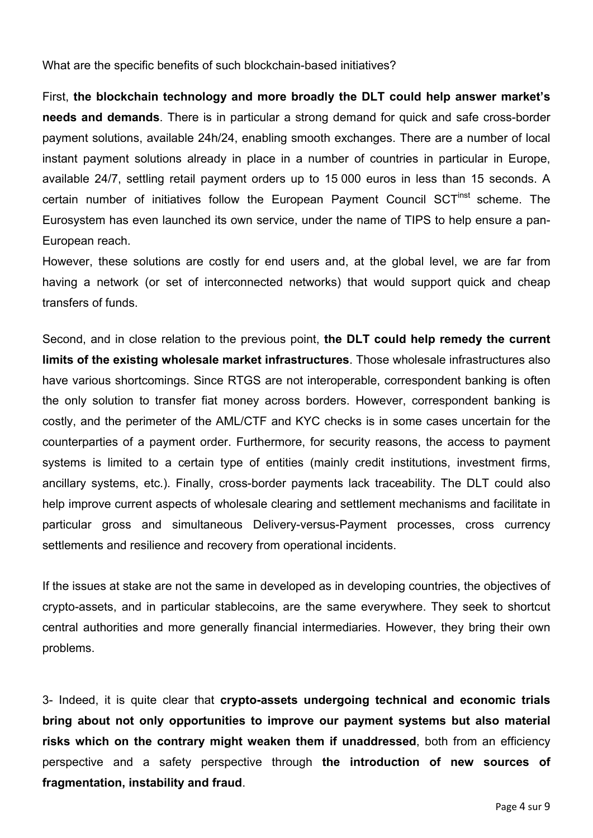What are the specific benefits of such blockchain-based initiatives?

First, **the blockchain technology and more broadly the DLT could help answer market's needs and demands**. There is in particular a strong demand for quick and safe cross-border payment solutions, available 24h/24, enabling smooth exchanges. There are a number of local instant payment solutions already in place in a number of countries in particular in Europe, available 24/7, settling retail payment orders up to 15 000 euros in less than 15 seconds. A certain number of initiatives follow the European Payment Council SCT<sup>Inst</sup> scheme. The Eurosystem has even launched its own service, under the name of TIPS to help ensure a pan-European reach.

However, these solutions are costly for end users and, at the global level, we are far from having a network (or set of interconnected networks) that would support quick and cheap transfers of funds.

Second, and in close relation to the previous point, **the DLT could help remedy the current limits of the existing wholesale market infrastructures**. Those wholesale infrastructures also have various shortcomings. Since RTGS are not interoperable, correspondent banking is often the only solution to transfer fiat money across borders. However, correspondent banking is costly, and the perimeter of the AML/CTF and KYC checks is in some cases uncertain for the counterparties of a payment order. Furthermore, for security reasons, the access to payment systems is limited to a certain type of entities (mainly credit institutions, investment firms, ancillary systems, etc.). Finally, cross-border payments lack traceability. The DLT could also help improve current aspects of wholesale clearing and settlement mechanisms and facilitate in particular gross and simultaneous Delivery-versus-Payment processes, cross currency settlements and resilience and recovery from operational incidents.

If the issues at stake are not the same in developed as in developing countries, the objectives of crypto-assets, and in particular stablecoins, are the same everywhere. They seek to shortcut central authorities and more generally financial intermediaries. However, they bring their own problems.

3- Indeed, it is quite clear that **crypto-assets undergoing technical and economic trials bring about not only opportunities to improve our payment systems but also material risks which on the contrary might weaken them if unaddressed**, both from an efficiency perspective and a safety perspective through **the introduction of new sources of fragmentation, instability and fraud**.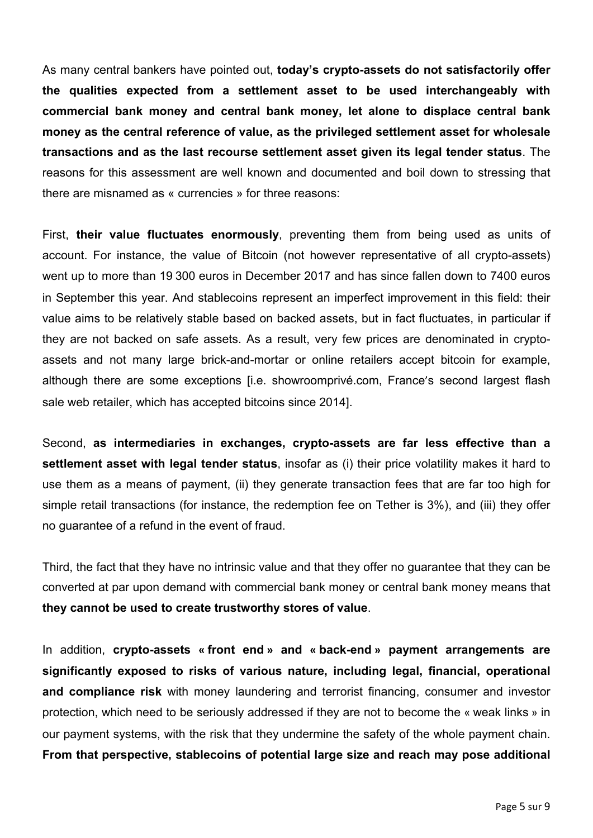As many central bankers have pointed out, **today's crypto-assets do not satisfactorily offer the qualities expected from a settlement asset to be used interchangeably with commercial bank money and central bank money, let alone to displace central bank money as the central reference of value, as the privileged settlement asset for wholesale transactions and as the last recourse settlement asset given its legal tender status**. The reasons for this assessment are well known and documented and boil down to stressing that there are misnamed as « currencies » for three reasons:

First, **their value fluctuates enormously**, preventing them from being used as units of account. For instance, the value of Bitcoin (not however representative of all crypto-assets) went up to more than 19 300 euros in December 2017 and has since fallen down to 7400 euros in September this year. And stablecoins represent an imperfect improvement in this field: their value aims to be relatively stable based on backed assets, but in fact fluctuates, in particular if they are not backed on safe assets. As a result, very few prices are denominated in cryptoassets and not many large brick-and-mortar or online retailers accept bitcoin for example, although there are some exceptions [i.e. showroomprivé.com, France's second largest flash sale web retailer, which has accepted bitcoins since 2014].

Second, **as intermediaries in exchanges, crypto-assets are far less effective than a settlement asset with legal tender status**, insofar as (i) their price volatility makes it hard to use them as a means of payment, (ii) they generate transaction fees that are far too high for simple retail transactions (for instance, the redemption fee on Tether is 3%), and (iii) they offer no guarantee of a refund in the event of fraud.

Third, the fact that they have no intrinsic value and that they offer no guarantee that they can be converted at par upon demand with commercial bank money or central bank money means that **they cannot be used to create trustworthy stores of value**.

In addition, **crypto-assets « front end » and « back-end » payment arrangements are significantly exposed to risks of various nature, including legal, financial, operational and compliance risk** with money laundering and terrorist financing, consumer and investor protection, which need to be seriously addressed if they are not to become the « weak links » in our payment systems, with the risk that they undermine the safety of the whole payment chain. **From that perspective, stablecoins of potential large size and reach may pose additional**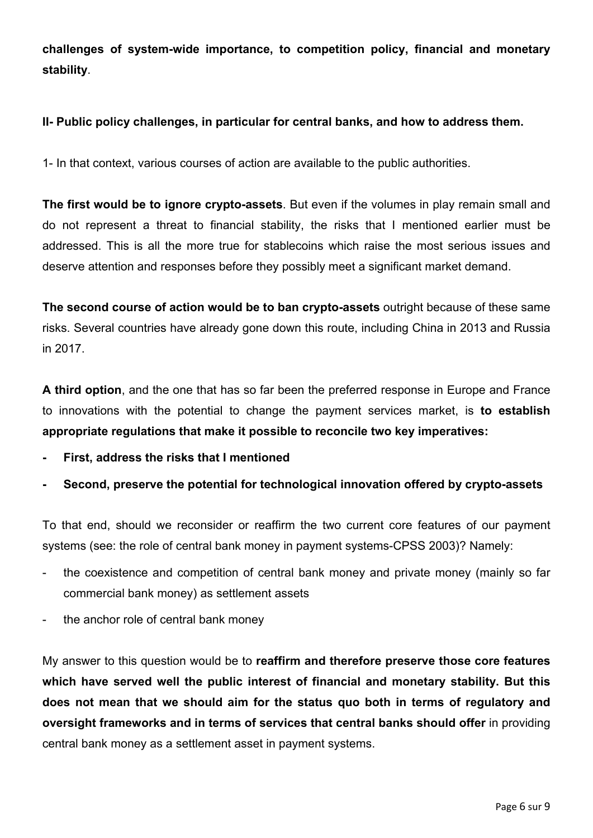**challenges of system-wide importance, to competition policy, financial and monetary stability**.

## **II- Public policy challenges, in particular for central banks, and how to address them.**

1- In that context, various courses of action are available to the public authorities.

**The first would be to ignore crypto-assets**. But even if the volumes in play remain small and do not represent a threat to financial stability, the risks that I mentioned earlier must be addressed. This is all the more true for stablecoins which raise the most serious issues and deserve attention and responses before they possibly meet a significant market demand.

**The second course of action would be to ban crypto-assets** outright because of these same risks. Several countries have already gone down this route, including China in 2013 and Russia in 2017.

**A third option**, and the one that has so far been the preferred response in Europe and France to innovations with the potential to change the payment services market, is **to establish appropriate regulations that make it possible to reconcile two key imperatives:**

- **- First, address the risks that I mentioned**
- **- Second, preserve the potential for technological innovation offered by crypto-assets**

To that end, should we reconsider or reaffirm the two current core features of our payment systems (see: the role of central bank money in payment systems-CPSS 2003)? Namely:

- the coexistence and competition of central bank money and private money (mainly so far commercial bank money) as settlement assets
- the anchor role of central bank money

My answer to this question would be to **reaffirm and therefore preserve those core features which have served well the public interest of financial and monetary stability. But this does not mean that we should aim for the status quo both in terms of regulatory and oversight frameworks and in terms of services that central banks should offer** in providing central bank money as a settlement asset in payment systems.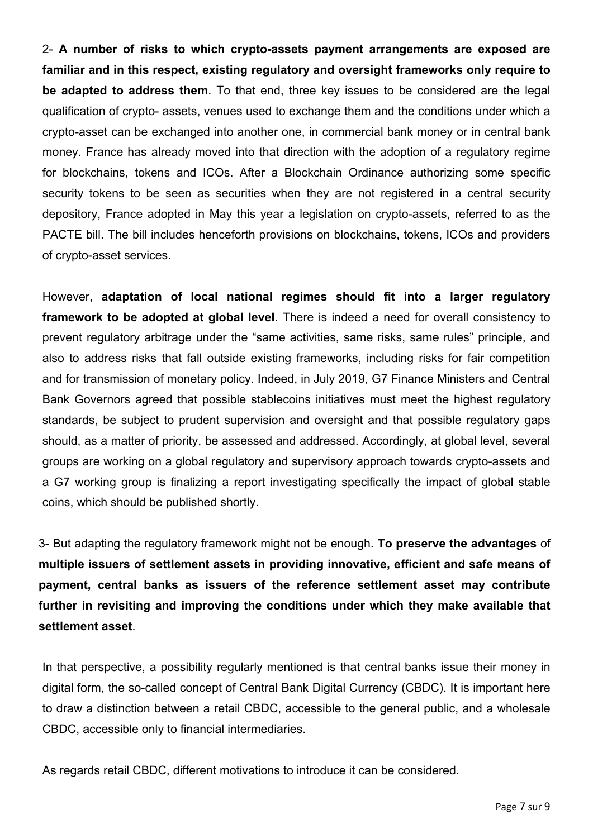2- **A number of risks to which crypto-assets payment arrangements are exposed are familiar and in this respect, existing regulatory and oversight frameworks only require to be adapted to address them**. To that end, three key issues to be considered are the legal qualification of crypto- assets, venues used to exchange them and the conditions under which a crypto-asset can be exchanged into another one, in commercial bank money or in central bank money. France has already moved into that direction with the adoption of a regulatory regime for blockchains, tokens and ICOs. After a Blockchain Ordinance authorizing some specific security tokens to be seen as securities when they are not registered in a central security depository, France adopted in May this year a legislation on crypto-assets, referred to as the PACTE bill. The bill includes henceforth provisions on blockchains, tokens, ICOs and providers of crypto-asset services.

However, **adaptation of local national regimes should fit into a larger regulatory framework to be adopted at global level**. There is indeed a need for overall consistency to prevent regulatory arbitrage under the "same activities, same risks, same rules" principle, and also to address risks that fall outside existing frameworks, including risks for fair competition and for transmission of monetary policy. Indeed, in July 2019, G7 Finance Ministers and Central Bank Governors agreed that possible stablecoins initiatives must meet the highest regulatory standards, be subject to prudent supervision and oversight and that possible regulatory gaps should, as a matter of priority, be assessed and addressed. Accordingly, at global level, several groups are working on a global regulatory and supervisory approach towards crypto-assets and a G7 working group is finalizing a report investigating specifically the impact of global stable coins, which should be published shortly.

3- But adapting the regulatory framework might not be enough. **To preserve the advantages** of **multiple issuers of settlement assets in providing innovative, efficient and safe means of payment, central banks as issuers of the reference settlement asset may contribute further in revisiting and improving the conditions under which they make available that settlement asset**.

In that perspective, a possibility regularly mentioned is that central banks issue their money in digital form, the so-called concept of Central Bank Digital Currency (CBDC). It is important here to draw a distinction between a retail CBDC, accessible to the general public, and a wholesale CBDC, accessible only to financial intermediaries.

As regards retail CBDC, different motivations to introduce it can be considered.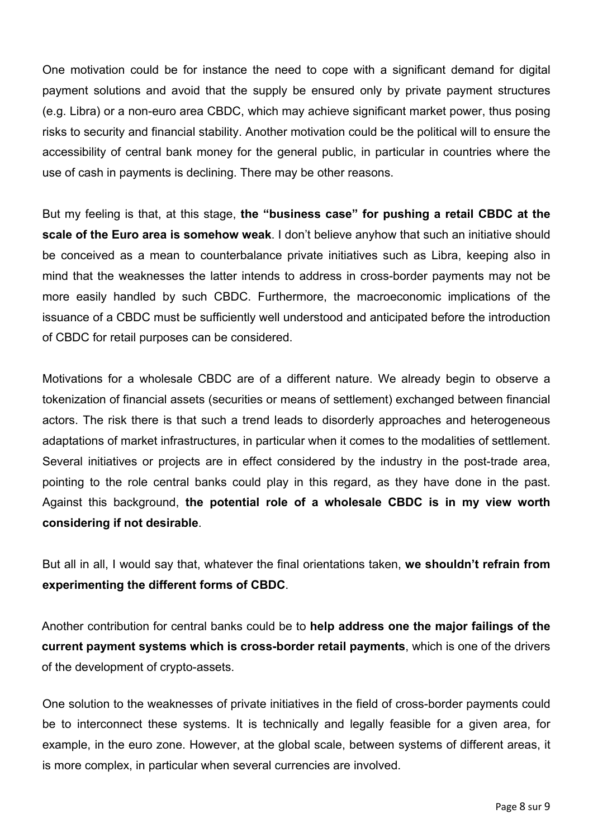One motivation could be for instance the need to cope with a significant demand for digital payment solutions and avoid that the supply be ensured only by private payment structures (e.g. Libra) or a non-euro area CBDC, which may achieve significant market power, thus posing risks to security and financial stability. Another motivation could be the political will to ensure the accessibility of central bank money for the general public, in particular in countries where the use of cash in payments is declining. There may be other reasons.

But my feeling is that, at this stage, **the "business case" for pushing a retail CBDC at the scale of the Euro area is somehow weak**. I don't believe anyhow that such an initiative should be conceived as a mean to counterbalance private initiatives such as Libra, keeping also in mind that the weaknesses the latter intends to address in cross-border payments may not be more easily handled by such CBDC. Furthermore, the macroeconomic implications of the issuance of a CBDC must be sufficiently well understood and anticipated before the introduction of CBDC for retail purposes can be considered.

Motivations for a wholesale CBDC are of a different nature. We already begin to observe a tokenization of financial assets (securities or means of settlement) exchanged between financial actors. The risk there is that such a trend leads to disorderly approaches and heterogeneous adaptations of market infrastructures, in particular when it comes to the modalities of settlement. Several initiatives or projects are in effect considered by the industry in the post-trade area, pointing to the role central banks could play in this regard, as they have done in the past. Against this background, **the potential role of a wholesale CBDC is in my view worth considering if not desirable**.

But all in all, I would say that, whatever the final orientations taken, **we shouldn't refrain from experimenting the different forms of CBDC**.

Another contribution for central banks could be to **help address one the major failings of the current payment systems which is cross-border retail payments**, which is one of the drivers of the development of crypto-assets.

One solution to the weaknesses of private initiatives in the field of cross-border payments could be to interconnect these systems. It is technically and legally feasible for a given area, for example, in the euro zone. However, at the global scale, between systems of different areas, it is more complex, in particular when several currencies are involved.